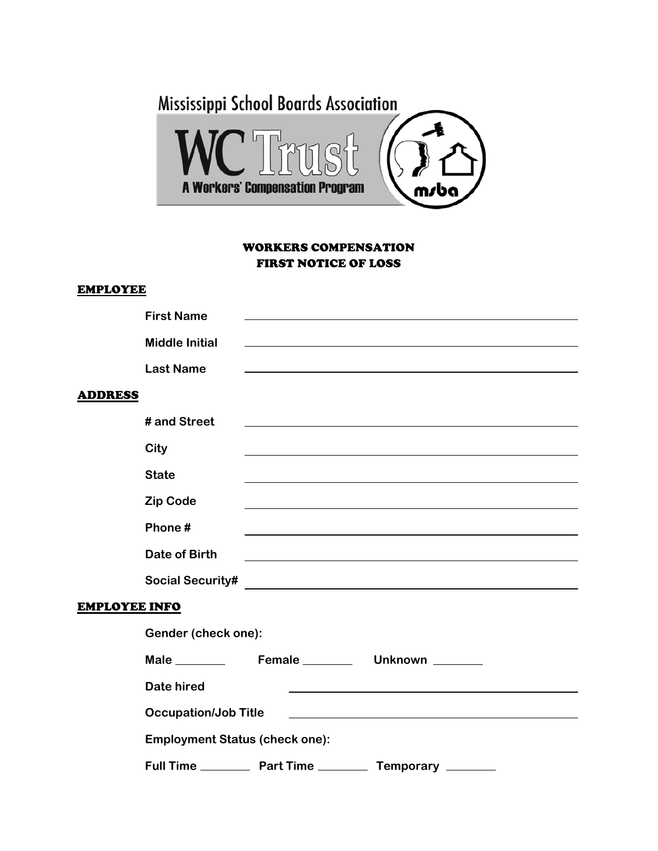

### WORKERS COMPENSATION FIRST NOTICE OF LOSS

#### **EMPLOYEE**

|                       | <b>First Name</b>                     |                     |                                                                                                                                                                                                                               |  |  |
|-----------------------|---------------------------------------|---------------------|-------------------------------------------------------------------------------------------------------------------------------------------------------------------------------------------------------------------------------|--|--|
|                       | <b>Middle Initial</b>                 |                     | and the control of the control of the control of the control of the control of the control of the control of the                                                                                                              |  |  |
|                       | <b>Last Name</b>                      |                     |                                                                                                                                                                                                                               |  |  |
|                       |                                       |                     |                                                                                                                                                                                                                               |  |  |
| <b>ADDRESS</b>        |                                       |                     |                                                                                                                                                                                                                               |  |  |
|                       | # and Street                          |                     |                                                                                                                                                                                                                               |  |  |
|                       | City                                  |                     |                                                                                                                                                                                                                               |  |  |
|                       | <b>State</b>                          |                     | ,我们也不会有一个人的人,我们也不会有一个人的人,我们也不会有一个人的人。""我们的人,我们也不会有一个人的人,我们也不会有一个人的人。""我们的人,我们也不会                                                                                                                                              |  |  |
|                       | <b>Zip Code</b>                       |                     |                                                                                                                                                                                                                               |  |  |
|                       | Phone#                                |                     | and the control of the control of the control of the control of the control of the control of the control of the                                                                                                              |  |  |
|                       | <b>Date of Birth</b>                  |                     | the control of the control of the control of the control of the control of the control of the control of the control of the control of the control of the control of the control of the control of the control of the control |  |  |
|                       | <b>Social Security#</b>               |                     | <u> Alexandria de la contrada de la contrada de la contrada de la contrada de la contrada de la contrada de la c</u>                                                                                                          |  |  |
| EMP <u>LOYEE INFO</u> |                                       |                     |                                                                                                                                                                                                                               |  |  |
|                       | Gender (check one):                   |                     |                                                                                                                                                                                                                               |  |  |
|                       |                                       | Male Female _______ | Unknown _______                                                                                                                                                                                                               |  |  |
|                       | <b>Date hired</b>                     |                     |                                                                                                                                                                                                                               |  |  |
|                       | <b>Occupation/Job Title</b>           |                     | the control of the control of the control of the control of the control of the control of                                                                                                                                     |  |  |
|                       | <b>Employment Status (check one):</b> |                     |                                                                                                                                                                                                                               |  |  |
|                       |                                       |                     | Temporary _______                                                                                                                                                                                                             |  |  |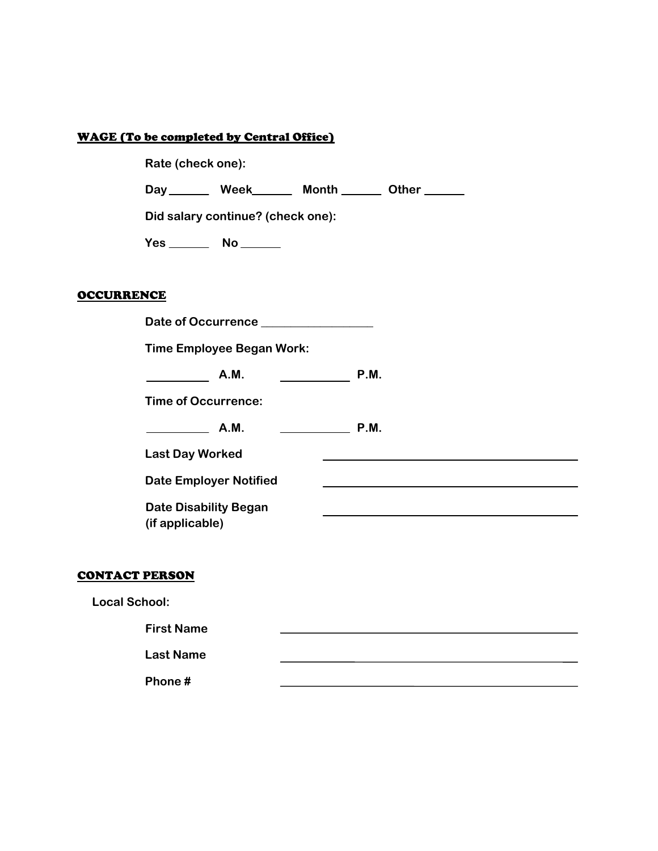### WAGE (To be completed by Central Office)

|                   | Rate (check one):                                                                                                                          |  |  |  |  |  |
|-------------------|--------------------------------------------------------------------------------------------------------------------------------------------|--|--|--|--|--|
|                   | Day _______ Week______ Month ______ Other ______                                                                                           |  |  |  |  |  |
|                   | Did salary continue? (check one):                                                                                                          |  |  |  |  |  |
|                   |                                                                                                                                            |  |  |  |  |  |
|                   |                                                                                                                                            |  |  |  |  |  |
| <b>OCCURRENCE</b> |                                                                                                                                            |  |  |  |  |  |
|                   | Date of Occurrence _______________                                                                                                         |  |  |  |  |  |
|                   | <b>Time Employee Began Work:</b>                                                                                                           |  |  |  |  |  |
|                   | A.M.<br>P.M.                                                                                                                               |  |  |  |  |  |
|                   | <b>Time of Occurrence:</b>                                                                                                                 |  |  |  |  |  |
|                   | P.M.<br>$A.M.$ $\qquad \qquad$                                                                                                             |  |  |  |  |  |
|                   | <b>Last Day Worked</b><br>and the control of the control of the control of the control of the control of the control of the control of the |  |  |  |  |  |
|                   | <b>Date Employer Notified</b>                                                                                                              |  |  |  |  |  |
|                   | <b>Date Disability Began</b><br>(if applicable)                                                                                            |  |  |  |  |  |

# CONTACT PERSON

**Local School:** 

 **First Name Last Name Phone #**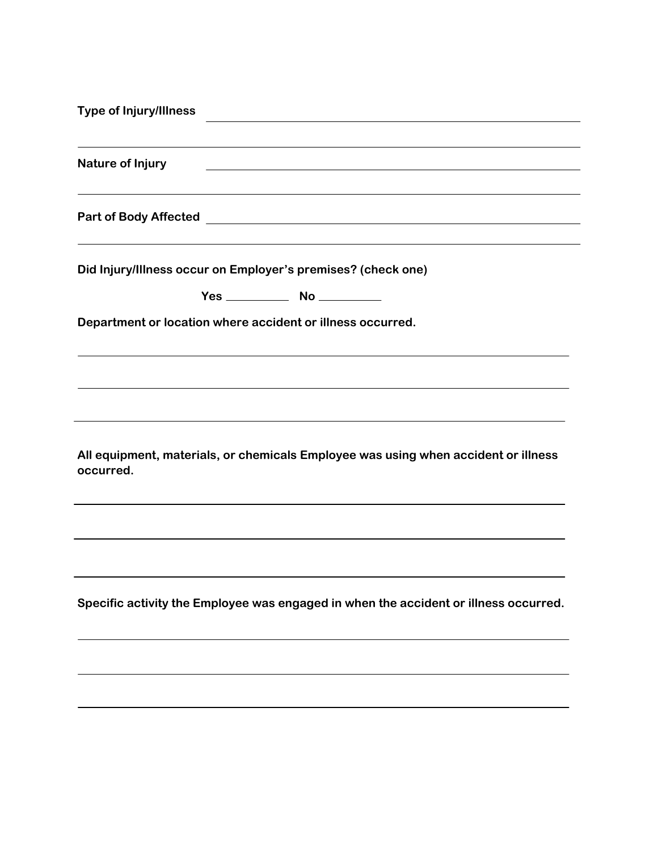| <b>Type of Injury/Illness</b>                                                                   |                                                                                                                       | the control of the control of the control of the control of the control of |  |  |
|-------------------------------------------------------------------------------------------------|-----------------------------------------------------------------------------------------------------------------------|----------------------------------------------------------------------------|--|--|
| Nature of Injury                                                                                | <u> 1980 - Johann Barn, mars ann an t-Amhain Aonaichte ann an t-Aonaichte ann an t-Aonaichte ann an t-Aonaichte a</u> |                                                                            |  |  |
| Part of Body Affected <b>Part of Body Affected</b>                                              |                                                                                                                       |                                                                            |  |  |
| Did Injury/Illness occur on Employer's premises? (check one)                                    |                                                                                                                       |                                                                            |  |  |
|                                                                                                 |                                                                                                                       |                                                                            |  |  |
| Department or location where accident or illness occurred.                                      |                                                                                                                       |                                                                            |  |  |
|                                                                                                 |                                                                                                                       |                                                                            |  |  |
| All equipment, materials, or chemicals Employee was using when accident or illness<br>occurred. |                                                                                                                       |                                                                            |  |  |
|                                                                                                 |                                                                                                                       |                                                                            |  |  |
| Specific activity the Employee was engaged in when the accident or illness occurred.            |                                                                                                                       |                                                                            |  |  |
|                                                                                                 |                                                                                                                       |                                                                            |  |  |
|                                                                                                 |                                                                                                                       |                                                                            |  |  |
|                                                                                                 |                                                                                                                       |                                                                            |  |  |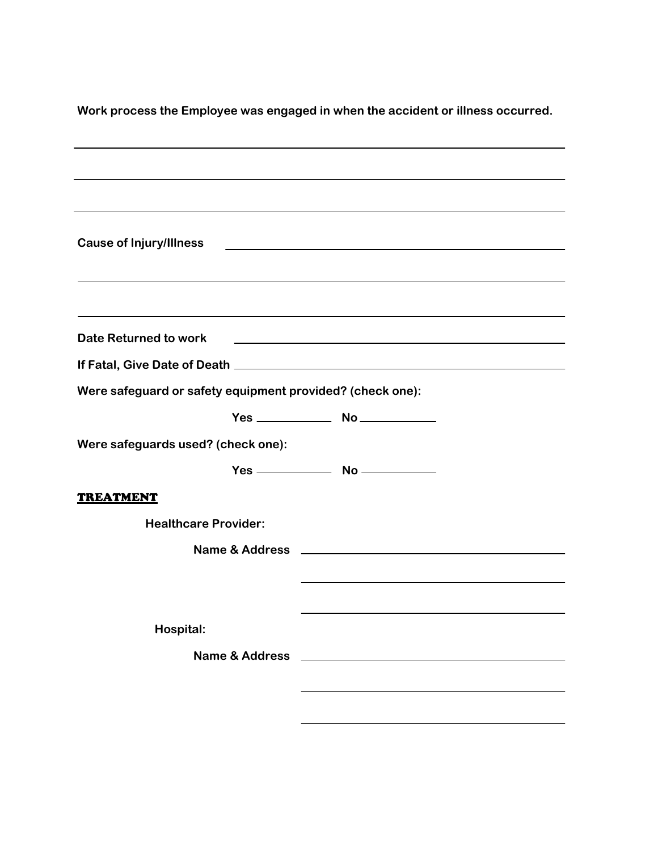| <b>Cause of Injury/Illness</b><br><u> 1989 - Johann Barbara, martin amerikan basal dan berasal dan berasal dalam basal dan berasal dan berasal dan</u> |  |  |  |  |
|--------------------------------------------------------------------------------------------------------------------------------------------------------|--|--|--|--|
|                                                                                                                                                        |  |  |  |  |
| ,我们也不会有什么。""我们的人,我们也不会有什么?""我们的人,我们也不会有什么?""我们的人,我们也不会有什么?""我们的人,我们也不会有什么?""我们的人                                                                       |  |  |  |  |
| <b>Date Returned to work</b><br><u> 1989 - Johann Stoff, amerikansk politiker (d. 1989)</u>                                                            |  |  |  |  |
|                                                                                                                                                        |  |  |  |  |
| Were safeguard or safety equipment provided? (check one):                                                                                              |  |  |  |  |
|                                                                                                                                                        |  |  |  |  |
| Were safeguards used? (check one):                                                                                                                     |  |  |  |  |
|                                                                                                                                                        |  |  |  |  |
| <b>TREATMENT</b>                                                                                                                                       |  |  |  |  |
| <b>Healthcare Provider:</b>                                                                                                                            |  |  |  |  |
|                                                                                                                                                        |  |  |  |  |
|                                                                                                                                                        |  |  |  |  |
|                                                                                                                                                        |  |  |  |  |
| Hospital:                                                                                                                                              |  |  |  |  |
| <b>Name &amp; Address</b><br><u> 1989 - Andrea Station Barbara, amerikan per</u>                                                                       |  |  |  |  |
|                                                                                                                                                        |  |  |  |  |
|                                                                                                                                                        |  |  |  |  |

**Work process the Employee was engaged in when the accident or illness occurred.**